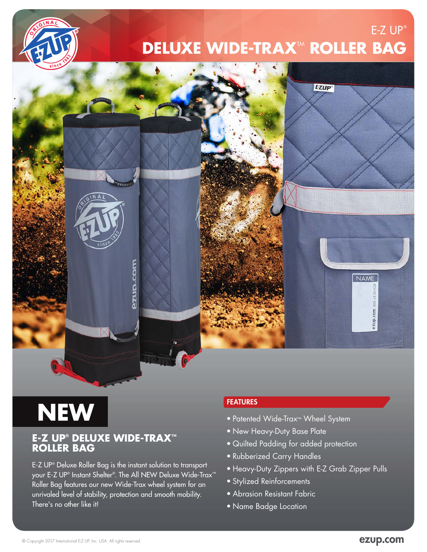

### $E-Z UP$ <sup>®</sup> **DELUXE WIDE-TRAX<sup>™</sup> ROLLER BAG**



# **NEW**

#### **E-Z UP® DELUXE WIDE-TRAX™ ROLLER BAG**

E-Z UP® Deluxe Roller Bag is the instant solution to transport your E-Z UP® Instant Shelter®. The All NEW Deluxe Wide-Trax™ Roller Bag features our new Wide-Trax wheel system for an unrivaled level of stability, protection and smooth mobility. There's no other like it!

#### FEATURES

- Patented Wide-Trax™ Wheel System
- New Heavy-Duty Base Plate
- Quilted Padding for added protection
- Rubberized Carry Handles
- Heavy-Duty Zippers with E-Z Grab Zipper Pulls
- Stylized Reinforcements
- Abrasion Resistant Fabric
- Name Badge Location